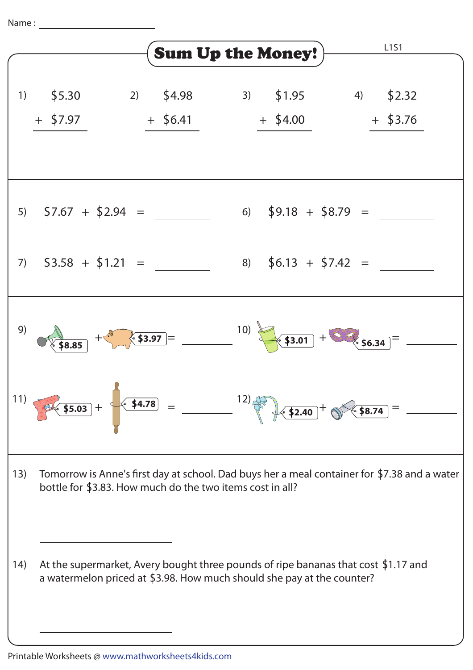Name :



Printable Worksheets @ www.mathworksheets4kids.com